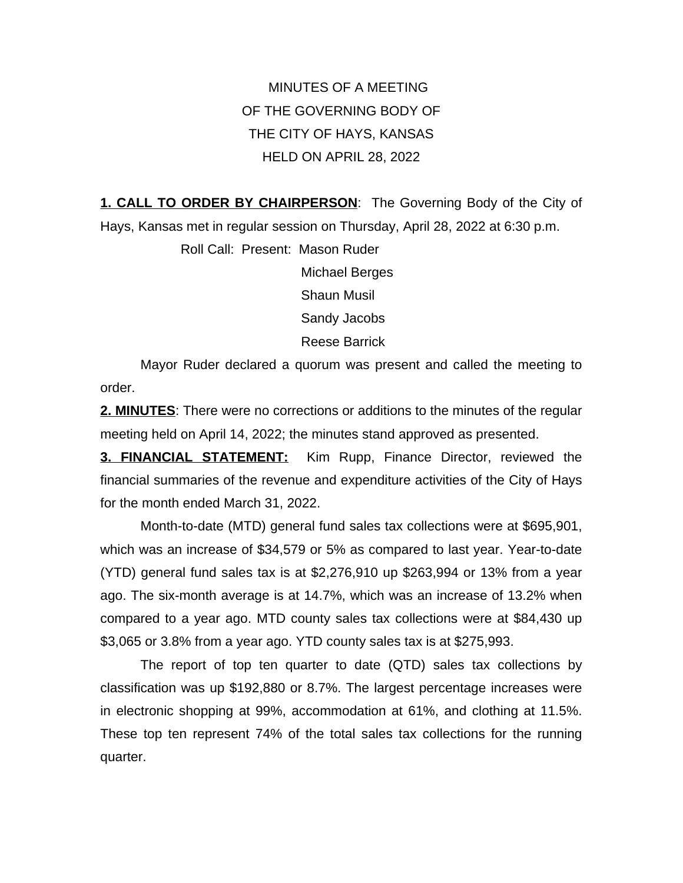MINUTES OF A MEETING OF THE GOVERNING BODY OF THE CITY OF HAYS, KANSAS HELD ON APRIL 28, 2022

**1. CALL TO ORDER BY CHAIRPERSON**: The Governing Body of the City of Hays, Kansas met in regular session on Thursday, April 28, 2022 at 6:30 p.m.

> Roll Call: Present: Mason Ruder Michael Berges Shaun Musil Sandy Jacobs Reese Barrick

Mayor Ruder declared a quorum was present and called the meeting to order.

**2. MINUTES**: There were no corrections or additions to the minutes of the regular meeting held on April 14, 2022; the minutes stand approved as presented.

**3. FINANCIAL STATEMENT:** Kim Rupp, Finance Director, reviewed the financial summaries of the revenue and expenditure activities of the City of Hays for the month ended March 31, 2022.

Month-to-date (MTD) general fund sales tax collections were at \$695,901, which was an increase of \$34,579 or 5% as compared to last year. Year-to-date (YTD) general fund sales tax is at \$2,276,910 up \$263,994 or 13% from a year ago. The six-month average is at 14.7%, which was an increase of 13.2% when compared to a year ago. MTD county sales tax collections were at \$84,430 up \$3,065 or 3.8% from a year ago. YTD county sales tax is at \$275,993.

The report of top ten quarter to date (QTD) sales tax collections by classification was up \$192,880 or 8.7%. The largest percentage increases were in electronic shopping at 99%, accommodation at 61%, and clothing at 11.5%. These top ten represent 74% of the total sales tax collections for the running quarter.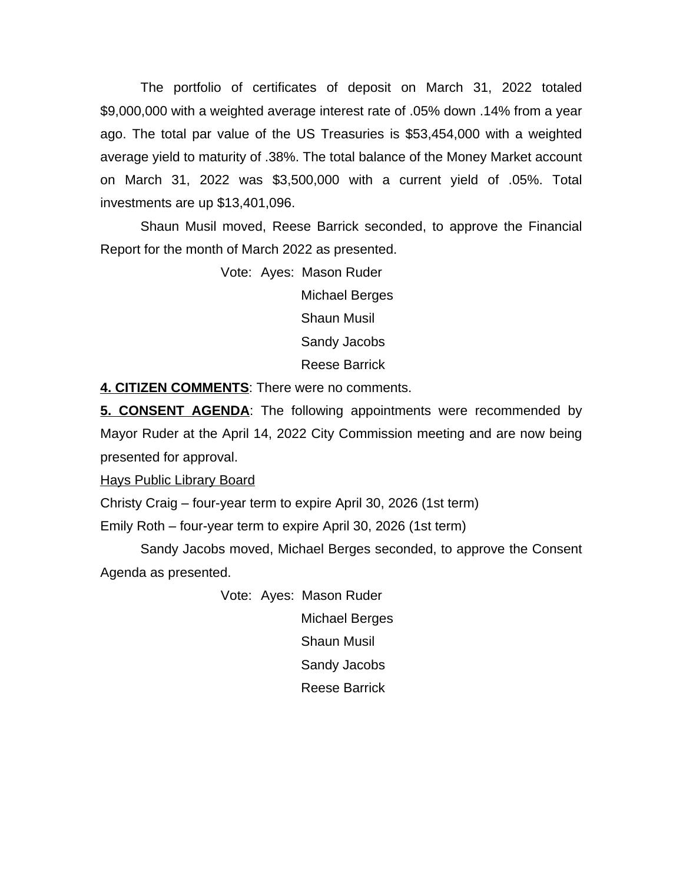The portfolio of certificates of deposit on March 31, 2022 totaled \$9,000,000 with a weighted average interest rate of .05% down .14% from a year ago. The total par value of the US Treasuries is \$53,454,000 with a weighted average yield to maturity of .38%. The total balance of the Money Market account on March 31, 2022 was \$3,500,000 with a current yield of .05%. Total investments are up \$13,401,096.

Shaun Musil moved, Reese Barrick seconded, to approve the Financial Report for the month of March 2022 as presented.

> Vote: Ayes: Mason Ruder Michael Berges Shaun Musil Sandy Jacobs Reese Barrick

**4. CITIZEN COMMENTS**: There were no comments.

**5. CONSENT AGENDA**: The following appointments were recommended by Mayor Ruder at the April 14, 2022 City Commission meeting and are now being presented for approval.

Hays Public Library Board

Christy Craig – four-year term to expire April 30, 2026 (1st term)

Emily Roth – four-year term to expire April 30, 2026 (1st term)

Sandy Jacobs moved, Michael Berges seconded, to approve the Consent Agenda as presented.

> Vote: Ayes: Mason Ruder Michael Berges Shaun Musil Sandy Jacobs Reese Barrick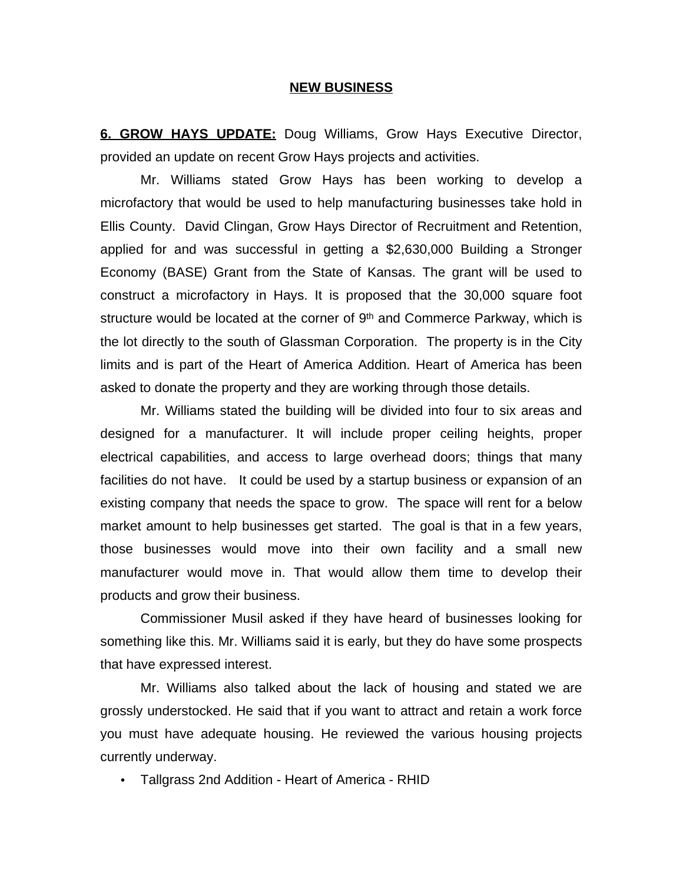## **NEW BUSINESS**

**6. GROW HAYS UPDATE:** Doug Williams, Grow Hays Executive Director, provided an update on recent Grow Hays projects and activities.

Mr. Williams stated Grow Hays has been working to develop a microfactory that would be used to help manufacturing businesses take hold in Ellis County. David Clingan, Grow Hays Director of Recruitment and Retention, applied for and was successful in getting a \$2,630,000 Building a Stronger Economy (BASE) Grant from the State of Kansas. The grant will be used to construct a microfactory in Hays. It is proposed that the 30,000 square foot structure would be located at the corner of 9<sup>th</sup> and Commerce Parkway, which is the lot directly to the south of Glassman Corporation. The property is in the City limits and is part of the Heart of America Addition. Heart of America has been asked to donate the property and they are working through those details.

Mr. Williams stated the building will be divided into four to six areas and designed for a manufacturer. It will include proper ceiling heights, proper electrical capabilities, and access to large overhead doors; things that many facilities do not have. It could be used by a startup business or expansion of an existing company that needs the space to grow. The space will rent for a below market amount to help businesses get started. The goal is that in a few years, those businesses would move into their own facility and a small new manufacturer would move in. That would allow them time to develop their products and grow their business.

Commissioner Musil asked if they have heard of businesses looking for something like this. Mr. Williams said it is early, but they do have some prospects that have expressed interest.

Mr. Williams also talked about the lack of housing and stated we are grossly understocked. He said that if you want to attract and retain a work force you must have adequate housing. He reviewed the various housing projects currently underway.

• Tallgrass 2nd Addition - Heart of America - RHID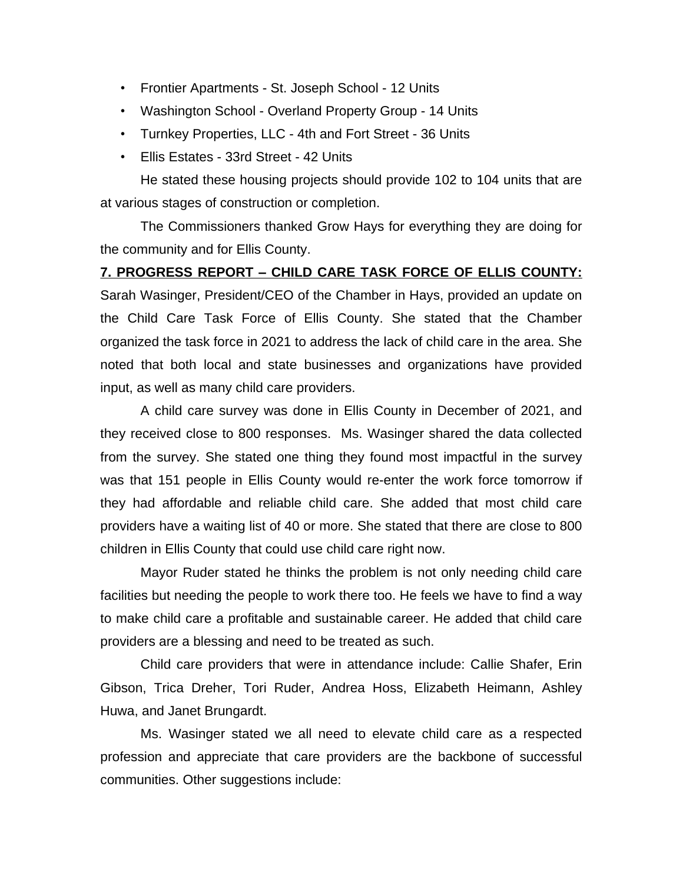- Frontier Apartments St. Joseph School 12 Units
- Washington School Overland Property Group 14 Units
- Turnkey Properties, LLC 4th and Fort Street 36 Units
- Ellis Estates 33rd Street 42 Units

He stated these housing projects should provide 102 to 104 units that are at various stages of construction or completion.

The Commissioners thanked Grow Hays for everything they are doing for the community and for Ellis County.

## **7. PROGRESS REPORT – CHILD CARE TASK FORCE OF ELLIS COUNTY:**

Sarah Wasinger, President/CEO of the Chamber in Hays, provided an update on the Child Care Task Force of Ellis County. She stated that the Chamber organized the task force in 2021 to address the lack of child care in the area. She noted that both local and state businesses and organizations have provided input, as well as many child care providers.

A child care survey was done in Ellis County in December of 2021, and they received close to 800 responses. Ms. Wasinger shared the data collected from the survey. She stated one thing they found most impactful in the survey was that 151 people in Ellis County would re-enter the work force tomorrow if they had affordable and reliable child care. She added that most child care providers have a waiting list of 40 or more. She stated that there are close to 800 children in Ellis County that could use child care right now.

Mayor Ruder stated he thinks the problem is not only needing child care facilities but needing the people to work there too. He feels we have to find a way to make child care a profitable and sustainable career. He added that child care providers are a blessing and need to be treated as such.

Child care providers that were in attendance include: Callie Shafer, Erin Gibson, Trica Dreher, Tori Ruder, Andrea Hoss, Elizabeth Heimann, Ashley Huwa, and Janet Brungardt.

Ms. Wasinger stated we all need to elevate child care as a respected profession and appreciate that care providers are the backbone of successful communities. Other suggestions include: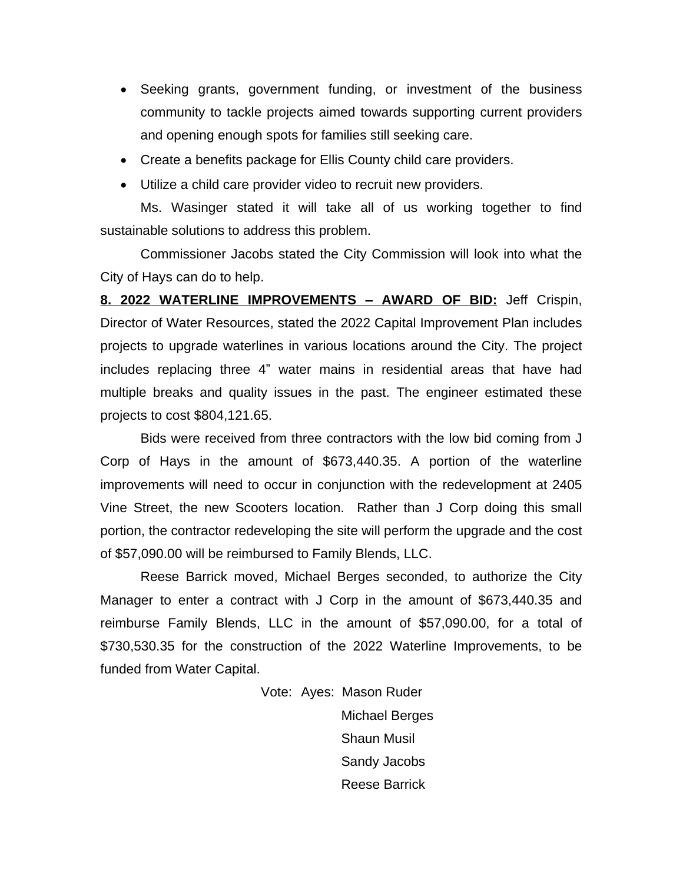- Seeking grants, government funding, or investment of the business community to tackle projects aimed towards supporting current providers and opening enough spots for families still seeking care.
- Create a benefits package for Ellis County child care providers.
- Utilize a child care provider video to recruit new providers.

Ms. Wasinger stated it will take all of us working together to find sustainable solutions to address this problem.

Commissioner Jacobs stated the City Commission will look into what the City of Hays can do to help.

**8. 2022 WATERLINE IMPROVEMENTS – AWARD OF BID:** Jeff Crispin, Director of Water Resources, stated the 2022 Capital Improvement Plan includes projects to upgrade waterlines in various locations around the City. The project includes replacing three 4" water mains in residential areas that have had multiple breaks and quality issues in the past. The engineer estimated these projects to cost \$804,121.65.

Bids were received from three contractors with the low bid coming from J Corp of Hays in the amount of \$673,440.35. A portion of the waterline improvements will need to occur in conjunction with the redevelopment at 2405 Vine Street, the new Scooters location. Rather than J Corp doing this small portion, the contractor redeveloping the site will perform the upgrade and the cost of \$57,090.00 will be reimbursed to Family Blends, LLC.

Reese Barrick moved, Michael Berges seconded, to authorize the City Manager to enter a contract with J Corp in the amount of \$673,440.35 and reimburse Family Blends, LLC in the amount of \$57,090.00, for a total of \$730,530.35 for the construction of the 2022 Waterline Improvements, to be funded from Water Capital.

> Vote: Ayes: Mason Ruder Michael Berges Shaun Musil Sandy Jacobs Reese Barrick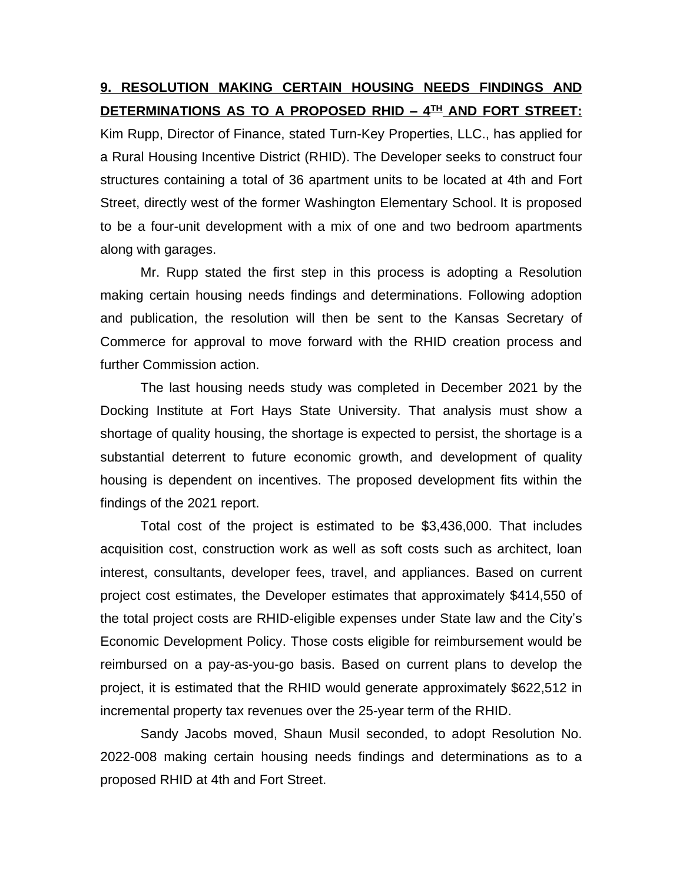## **9. RESOLUTION MAKING CERTAIN HOUSING NEEDS FINDINGS AND DETERMINATIONS AS TO A PROPOSED RHID – 4 TH AND FORT STREET:**

Kim Rupp, Director of Finance, stated Turn-Key Properties, LLC., has applied for a Rural Housing Incentive District (RHID). The Developer seeks to construct four structures containing a total of 36 apartment units to be located at 4th and Fort Street, directly west of the former Washington Elementary School. It is proposed to be a four-unit development with a mix of one and two bedroom apartments along with garages.

Mr. Rupp stated the first step in this process is adopting a Resolution making certain housing needs findings and determinations. Following adoption and publication, the resolution will then be sent to the Kansas Secretary of Commerce for approval to move forward with the RHID creation process and further Commission action.

The last housing needs study was completed in December 2021 by the Docking Institute at Fort Hays State University. That analysis must show a shortage of quality housing, the shortage is expected to persist, the shortage is a substantial deterrent to future economic growth, and development of quality housing is dependent on incentives. The proposed development fits within the findings of the 2021 report.

Total cost of the project is estimated to be \$3,436,000. That includes acquisition cost, construction work as well as soft costs such as architect, loan interest, consultants, developer fees, travel, and appliances. Based on current project cost estimates, the Developer estimates that approximately \$414,550 of the total project costs are RHID-eligible expenses under State law and the City's Economic Development Policy. Those costs eligible for reimbursement would be reimbursed on a pay-as-you-go basis. Based on current plans to develop the project, it is estimated that the RHID would generate approximately \$622,512 in incremental property tax revenues over the 25-year term of the RHID.

Sandy Jacobs moved, Shaun Musil seconded, to adopt Resolution No. 2022-008 making certain housing needs findings and determinations as to a proposed RHID at 4th and Fort Street.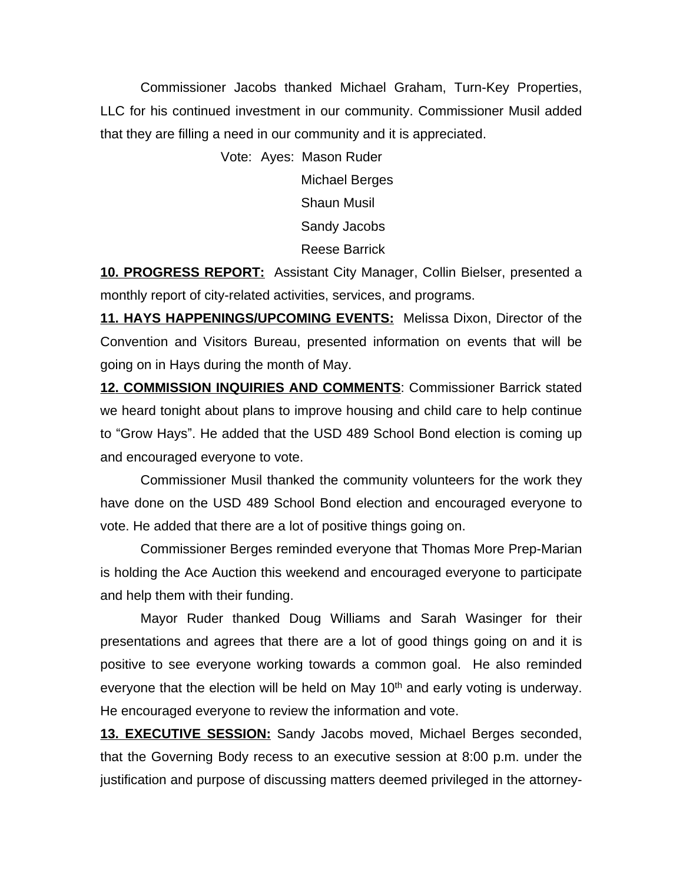Commissioner Jacobs thanked Michael Graham, Turn-Key Properties, LLC for his continued investment in our community. Commissioner Musil added that they are filling a need in our community and it is appreciated.

Vote: Ayes: Mason Ruder

Michael Berges Shaun Musil Sandy Jacobs Reese Barrick

**10. PROGRESS REPORT:** Assistant City Manager, Collin Bielser, presented a monthly report of city-related activities, services, and programs.

**11. HAYS HAPPENINGS/UPCOMING EVENTS:** Melissa Dixon, Director of the Convention and Visitors Bureau, presented information on events that will be going on in Hays during the month of May.

**12. COMMISSION INQUIRIES AND COMMENTS**: Commissioner Barrick stated we heard tonight about plans to improve housing and child care to help continue to "Grow Hays". He added that the USD 489 School Bond election is coming up and encouraged everyone to vote.

Commissioner Musil thanked the community volunteers for the work they have done on the USD 489 School Bond election and encouraged everyone to vote. He added that there are a lot of positive things going on.

Commissioner Berges reminded everyone that Thomas More Prep-Marian is holding the Ace Auction this weekend and encouraged everyone to participate and help them with their funding.

Mayor Ruder thanked Doug Williams and Sarah Wasinger for their presentations and agrees that there are a lot of good things going on and it is positive to see everyone working towards a common goal. He also reminded everyone that the election will be held on May  $10<sup>th</sup>$  and early voting is underway. He encouraged everyone to review the information and vote.

**13. EXECUTIVE SESSION:** Sandy Jacobs moved, Michael Berges seconded, that the Governing Body recess to an executive session at 8:00 p.m. under the justification and purpose of discussing matters deemed privileged in the attorney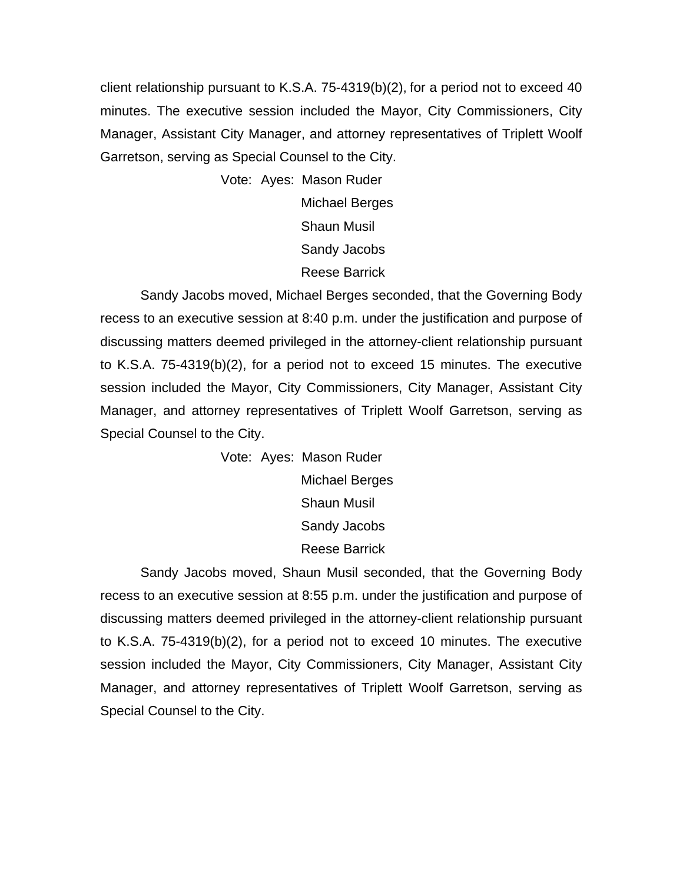client relationship pursuant to K.S.A. 75-4319(b)(2), for a period not to exceed 40 minutes. The executive session included the Mayor, City Commissioners, City Manager, Assistant City Manager, and attorney representatives of Triplett Woolf Garretson, serving as Special Counsel to the City.

> Vote: Ayes: Mason Ruder Michael Berges Shaun Musil Sandy Jacobs Reese Barrick

Sandy Jacobs moved, Michael Berges seconded, that the Governing Body recess to an executive session at 8:40 p.m. under the justification and purpose of discussing matters deemed privileged in the attorney-client relationship pursuant to K.S.A. 75-4319(b)(2), for a period not to exceed 15 minutes. The executive session included the Mayor, City Commissioners, City Manager, Assistant City Manager, and attorney representatives of Triplett Woolf Garretson, serving as Special Counsel to the City.

> Vote: Ayes: Mason Ruder Michael Berges Shaun Musil Sandy Jacobs Reese Barrick

Sandy Jacobs moved, Shaun Musil seconded, that the Governing Body recess to an executive session at 8:55 p.m. under the justification and purpose of discussing matters deemed privileged in the attorney-client relationship pursuant to K.S.A. 75-4319(b)(2), for a period not to exceed 10 minutes. The executive session included the Mayor, City Commissioners, City Manager, Assistant City Manager, and attorney representatives of Triplett Woolf Garretson, serving as Special Counsel to the City.